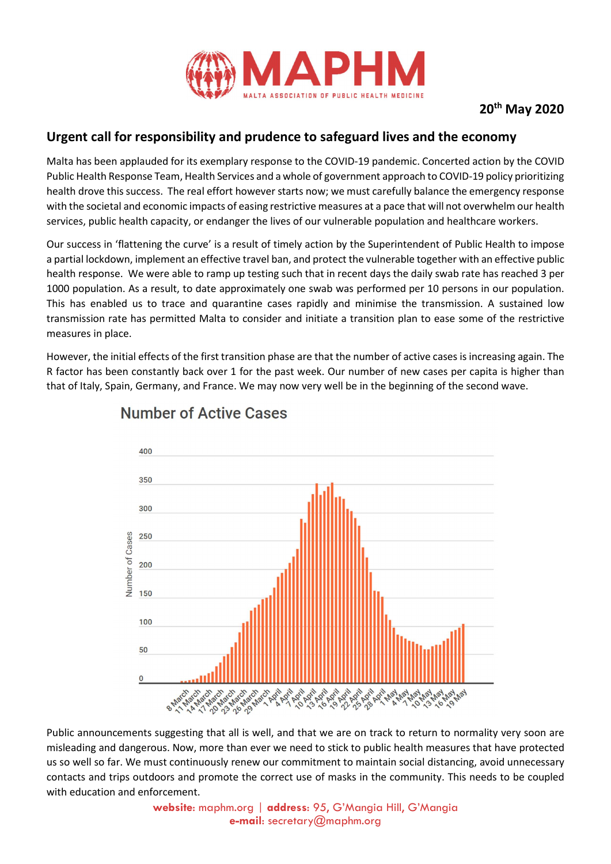

## Urgent call for responsibility and prudence to safeguard lives and the economy

Malta has been applauded for its exemplary response to the COVID-19 pandemic. Concerted action by the COVID Public Health Response Team, Health Services and a whole of government approach to COVID-19 policy prioritizing health drove this success. The real effort however starts now; we must carefully balance the emergency response with the societal and economic impacts of easing restrictive measures at a pace that will not overwhelm our health services, public health capacity, or endanger the lives of our vulnerable population and healthcare workers.

Our success in 'flattening the curve' is a result of timely action by the Superintendent of Public Health to impose a partial lockdown, implement an effective travel ban, and protect the vulnerable together with an effective public health response. We were able to ramp up testing such that in recent days the daily swab rate has reached 3 per 1000 population. As a result, to date approximately one swab was performed per 10 persons in our population. This has enabled us to trace and quarantine cases rapidly and minimise the transmission. A sustained low transmission rate has permitted Malta to consider and initiate a transition plan to ease some of the restrictive measures in place.

However, the initial effects of the first transition phase are that the number of active cases is increasing again. The R factor has been constantly back over 1 for the past week. Our number of new cases per capita is higher than that of Italy, Spain, Germany, and France. We may now very well be in the beginning of the second wave.



## **Number of Active Cases**

Public announcements suggesting that all is well, and that we are on track to return to normality very soon are misleading and dangerous. Now, more than ever we need to stick to public health measures that have protected us so well so far. We must continuously renew our commitment to maintain social distancing, avoid unnecessary contacts and trips outdoors and promote the correct use of masks in the community. This needs to be coupled with education and enforcement.